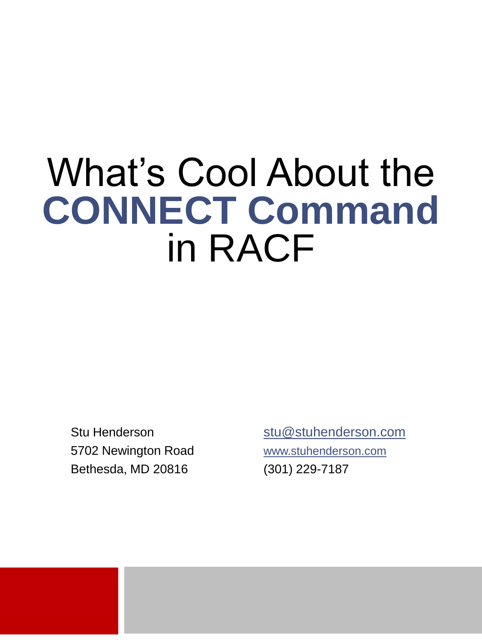#### What's Cool About the **CONNECT Command**  in RACF

 5702 Newington Road [www.stuhenderson.com](http://www.stuhenderson.com/) Bethesda, MD 20816 (301) 229-7187

Stu Henderson [stu@stuhenderson.com](mailto:stu@stuhenderson.com)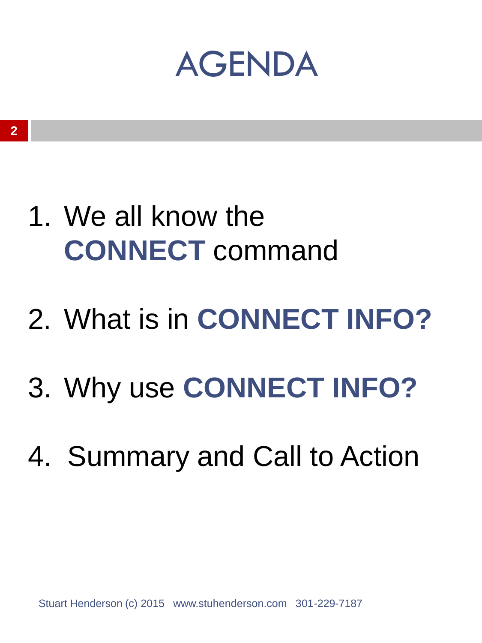#### AGENDA

- 1. We all know the **CONNECT** command
- 2. What is in **CONNECT INFO?**
- 3. Why use **CONNECT INFO?**
- 4. Summary and Call to Action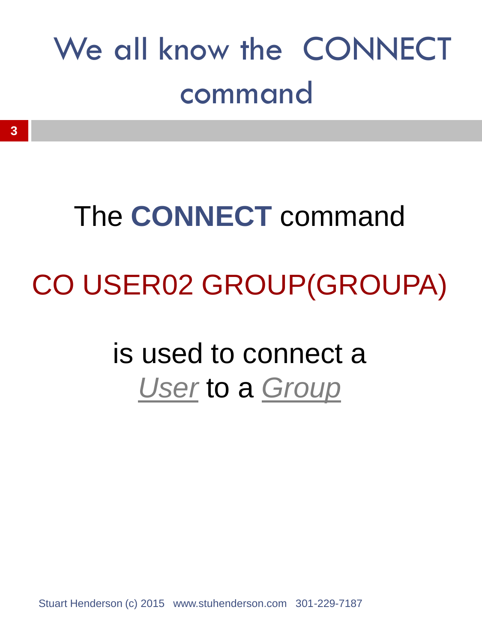#### We all know the CONNECT command

# The **CONNECT** command CO USER02 GROUP(GROUPA)

#### is used to connect a *User* to a *Group*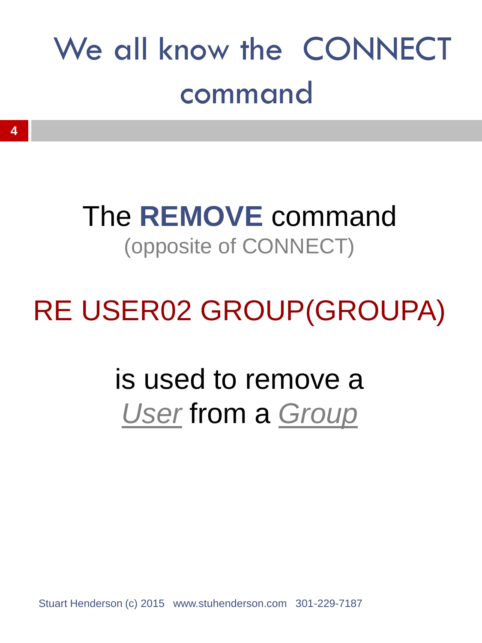#### We all know the CONNECT command

#### The **REMOVE** command (opposite of CONNECT)

#### RE USER02 GROUP(GROUPA)

#### is used to remove a *User* from a *Group*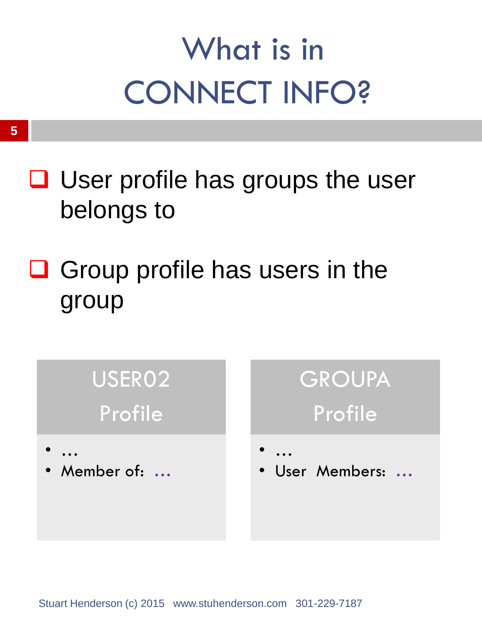- $\Box$  User profile has groups the user belongs to
- $\Box$  Group profile has users in the group

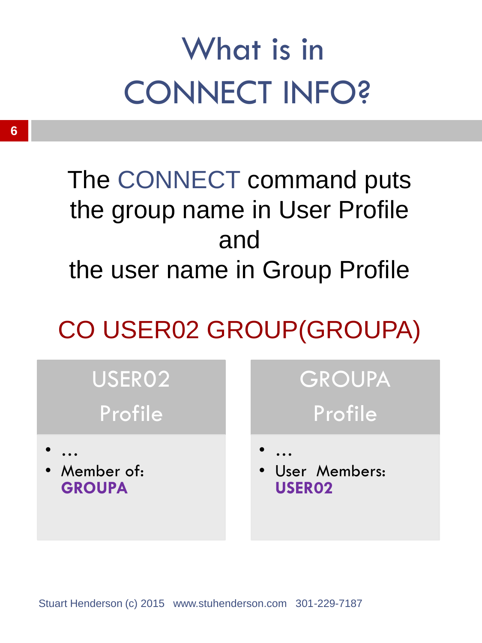#### The CONNECT command puts the group name in User Profile and the user name in Group Profile

#### CO USER02 GROUP(GROUPA)



#### **GROUPA** Profile

• User Members: **USER02**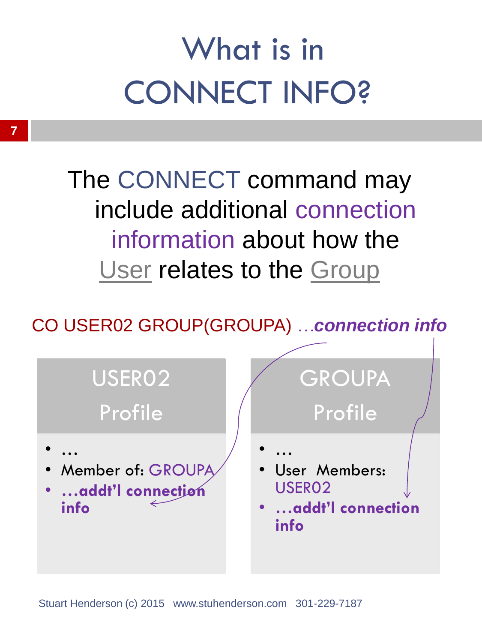The CONNECT command may include additional connection information about how the User relates to the Group

CO USER02 GROUP(GROUPA) *…connection info*

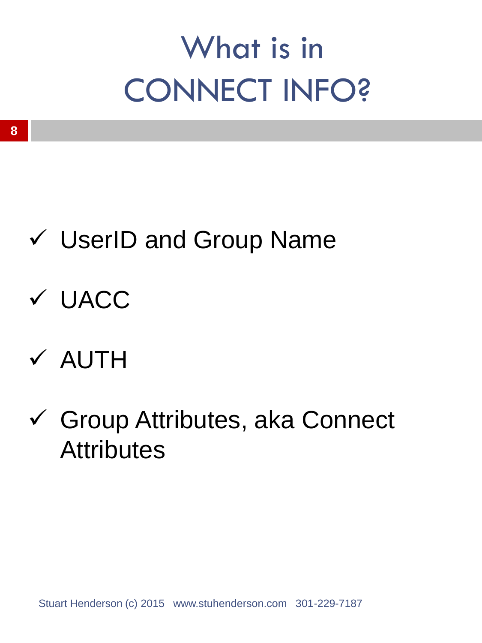- UserID and Group Name
- UACC
- $\times$  AUTH
- Group Attributes, aka Connect **Attributes**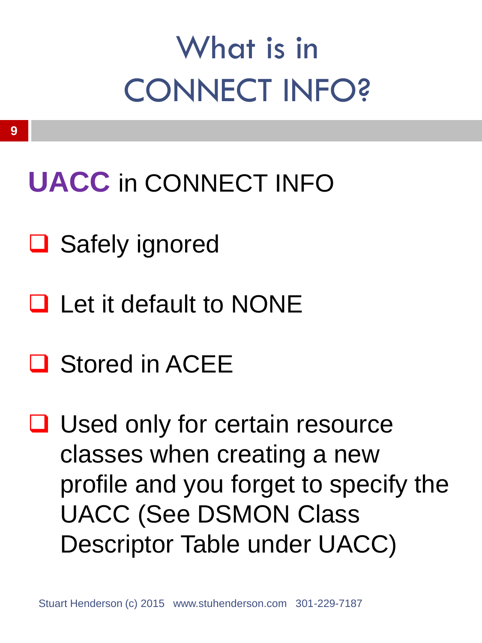#### **UACC** in CONNECT INFO

- **□** Safely ignored
- **Q** Let it default to NONE
- **□ Stored in ACEE**
- **□** Used only for certain resource classes when creating a new profile and you forget to specify the UACC (See DSMON Class Descriptor Table under UACC)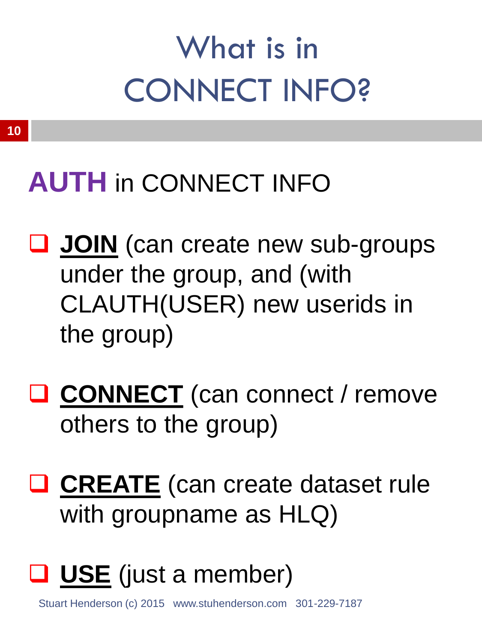#### **AUTH** in CONNECT INFO

- **JOIN** (can create new sub-groups under the group, and (with CLAUTH(USER) new userids in the group)
- **CONNECT** (can connect / remove others to the group)

**Q CREATE** (can create dataset rule with groupname as HLQ)

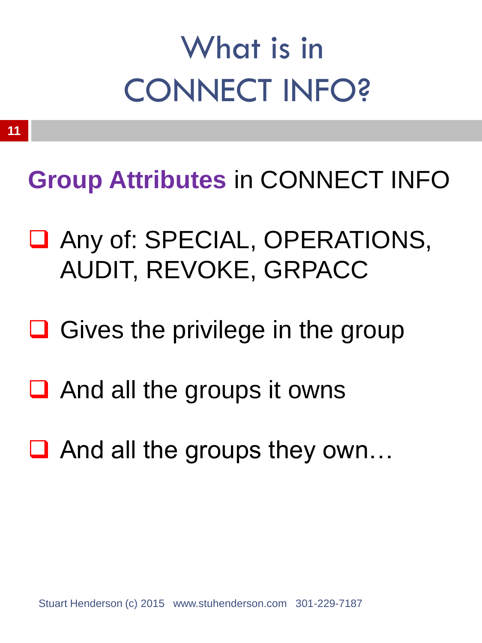**Group Attributes in CONNECT INFO** 

- Any of: SPECIAL, OPERATIONS, AUDIT, REVOKE, GRPACC
- $\Box$  Gives the privilege in the group
- $\Box$  And all the groups it owns
- $\Box$  And all the groups they own...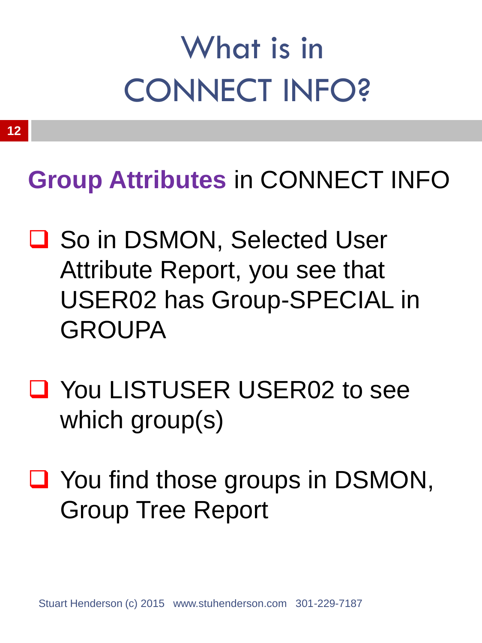#### **Group Attributes** in CONNECT INFO

- **□ So in DSMON, Selected User** Attribute Report, you see that USER02 has Group-SPECIAL in GROUPA
- You LISTUSER USER02 to see which group(s)
- You find those groups in DSMON, Group Tree Report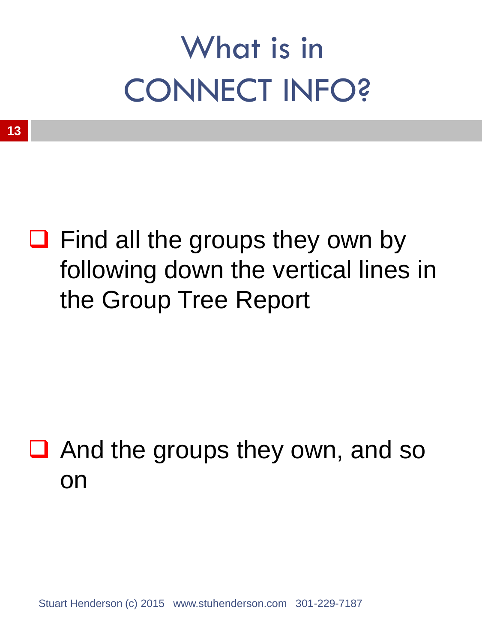$\Box$  Find all the groups they own by following down the vertical lines in the Group Tree Report

#### $\Box$  And the groups they own, and so on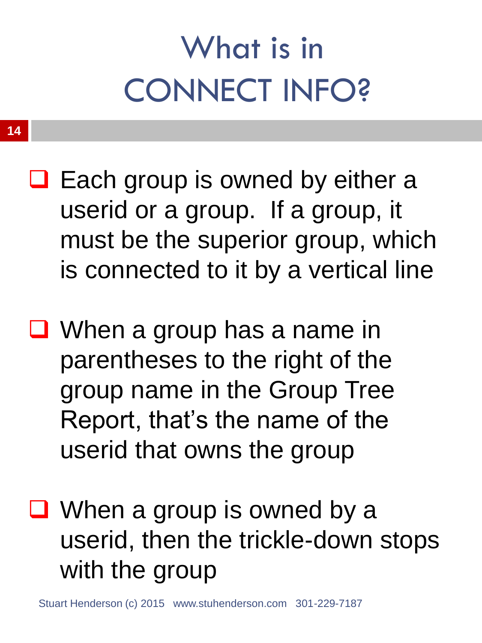- $\Box$  Each group is owned by either a userid or a group. If a group, it must be the superior group, which is connected to it by a vertical line
- When a group has a name in parentheses to the right of the group name in the Group Tree Report, that's the name of the userid that owns the group
- When a group is owned by a userid, then the trickle-down stops with the group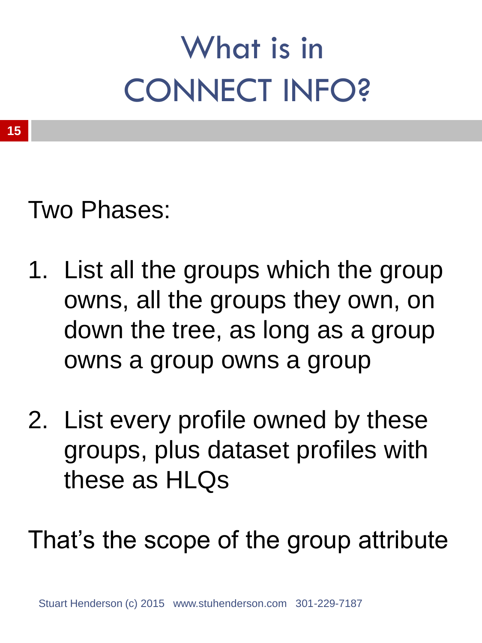Two Phases:

- 1. List all the groups which the group owns, all the groups they own, on down the tree, as long as a group owns a group owns a group
- 2. List every profile owned by these groups, plus dataset profiles with these as HLQs

That's the scope of the group attribute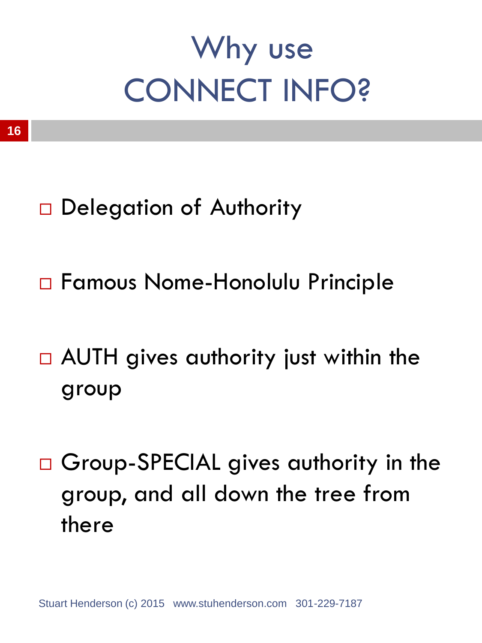### Why use CONNECT INFO?

- - □ Delegation of Authority
	- Famous Nome-Honolulu Principle
	- □ AUTH gives authority just within the group
	- □ Group-SPECIAL gives authority in the group, and all down the tree from there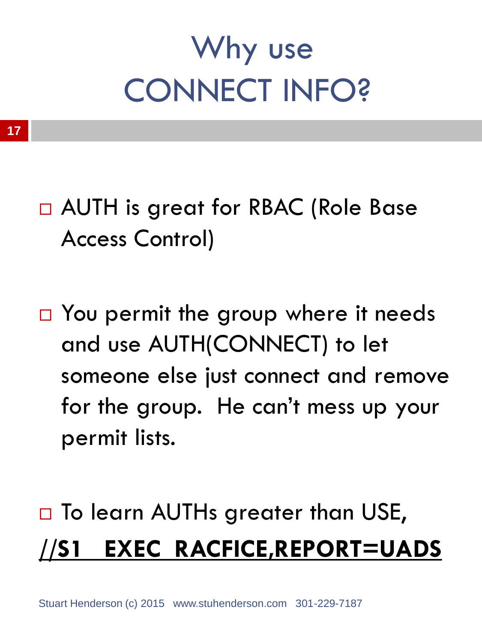## Why use CONNECT INFO?

□ AUTH is great for RBAC (Role Base Access Control)

□ You permit the group where it needs and use AUTH(CONNECT) to let someone else just connect and remove for the group. He can't mess up your permit lists.

#### □ To learn AUTHs greater than USE, **//S1 EXEC RACFICE,REPORT=UADS**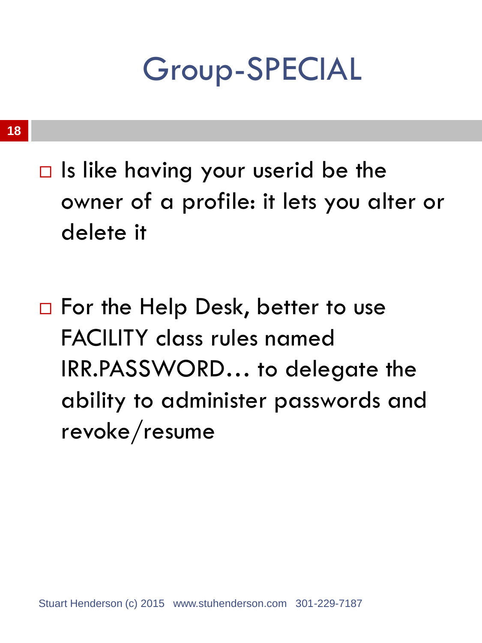Group-SPECIAL

#### **18**

- $\Box$  Is like having your userid be the owner of a profile: it lets you alter or delete it
- □ For the Help Desk, better to use FACILITY class rules named IRR.PASSWORD… to delegate the ability to administer passwords and revoke/resume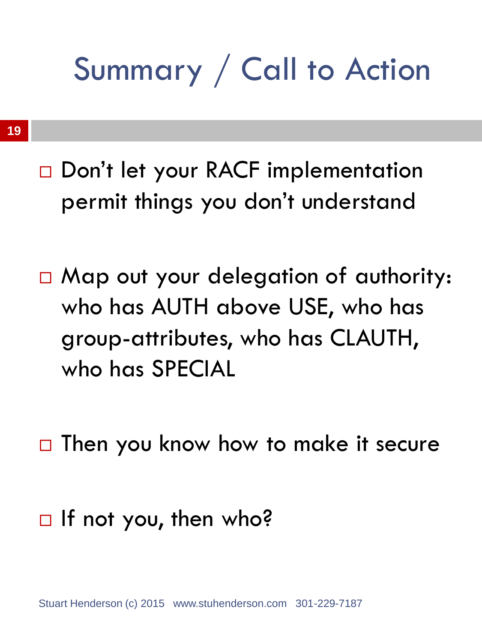### Summary / Call to Action

- Don't let your RACF implementation permit things you don't understand
- $\square$  Map out your delegation of authority: who has AUTH above USE, who has group-attributes, who has CLAUTH, who has SPECIAL
- $\Box$  Then you know how to make it secure
- $\Box$  If not you, then who?